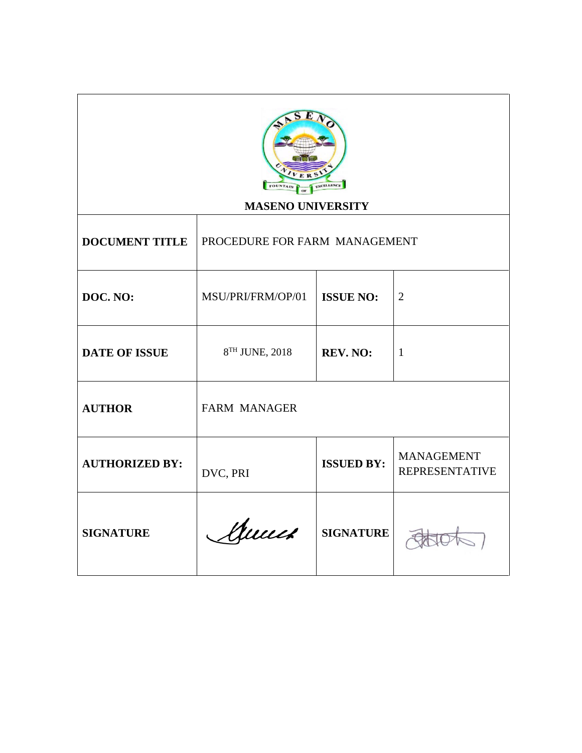| ER <sup>S</sup><br><b>EXCELLENCE</b><br><b>FOUNTAIN</b><br><b>MASENO UNIVERSITY</b> |                               |                   |                                            |  |
|-------------------------------------------------------------------------------------|-------------------------------|-------------------|--------------------------------------------|--|
| <b>DOCUMENT TITLE</b>                                                               | PROCEDURE FOR FARM MANAGEMENT |                   |                                            |  |
| DOC. NO:                                                                            | MSU/PRI/FRM/OP/01             | <b>ISSUE NO:</b>  | $\overline{2}$                             |  |
| <b>DATE OF ISSUE</b>                                                                | 8TH JUNE, 2018                | REV. NO:          | $\mathbf{1}$                               |  |
| <b>AUTHOR</b>                                                                       | <b>FARM MANAGER</b>           |                   |                                            |  |
| <b>AUTHORIZED BY:</b>                                                               | DVC, PRI                      | <b>ISSUED BY:</b> | <b>MANAGEMENT</b><br><b>REPRESENTATIVE</b> |  |
| <b>SIGNATURE</b>                                                                    | Annes                         | <b>SIGNATURE</b>  |                                            |  |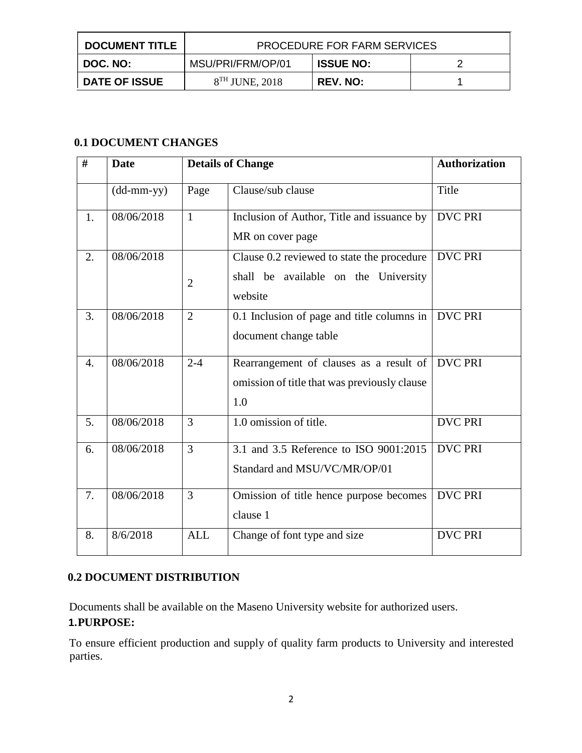| <b>DOCUMENT TITLE</b> | <b>PROCEDURE FOR FARM SERVICES</b> |                  |  |
|-----------------------|------------------------------------|------------------|--|
| DOC. NO:              | MSU/PRI/FRM/OP/01                  | <b>ISSUE NO:</b> |  |
| <b>DATE OF ISSUE</b>  | $8TH$ JUNE, 2018                   | REV. NO:         |  |

## **0.1 DOCUMENT CHANGES**

| #                | <b>Date</b>                                       |                | <b>Details of Change</b>                     | <b>Authorization</b> |
|------------------|---------------------------------------------------|----------------|----------------------------------------------|----------------------|
|                  | $(dd{\text{-}\!\!\,\text{mm-}}\text{\small{yy}})$ | Page           | Clause/sub clause                            | Title                |
| 1.               | 08/06/2018                                        | $\mathbf{1}$   | Inclusion of Author, Title and issuance by   | <b>DVC PRI</b>       |
|                  |                                                   |                | MR on cover page                             |                      |
| 2.               | 08/06/2018                                        |                | Clause 0.2 reviewed to state the procedure   | <b>DVC PRI</b>       |
|                  |                                                   | $\overline{2}$ | shall be available on the University         |                      |
|                  |                                                   |                | website                                      |                      |
| 3.               | 08/06/2018                                        | $\overline{2}$ | 0.1 Inclusion of page and title columns in   | <b>DVC PRI</b>       |
|                  |                                                   |                | document change table                        |                      |
| $\overline{4}$ . | 08/06/2018                                        | $2 - 4$        | Rearrangement of clauses as a result of      | <b>DVC PRI</b>       |
|                  |                                                   |                | omission of title that was previously clause |                      |
|                  |                                                   |                | 1.0                                          |                      |
| 5.               | 08/06/2018                                        | $\overline{3}$ | 1.0 omission of title.                       | <b>DVC PRI</b>       |
| 6.               | 08/06/2018                                        | $\overline{3}$ | 3.1 and 3.5 Reference to ISO 9001:2015       | <b>DVC PRI</b>       |
|                  |                                                   |                | Standard and MSU/VC/MR/OP/01                 |                      |
| 7.               | 08/06/2018                                        | $\overline{3}$ | Omission of title hence purpose becomes      | <b>DVC PRI</b>       |
|                  |                                                   |                | clause 1                                     |                      |
| 8.               | 8/6/2018                                          | <b>ALL</b>     | Change of font type and size                 | <b>DVC PRI</b>       |

# **0.2 DOCUMENT DISTRIBUTION**

Documents shall be available on the Maseno University website for authorized users. **1.PURPOSE:** 

To ensure efficient production and supply of quality farm products to University and interested parties.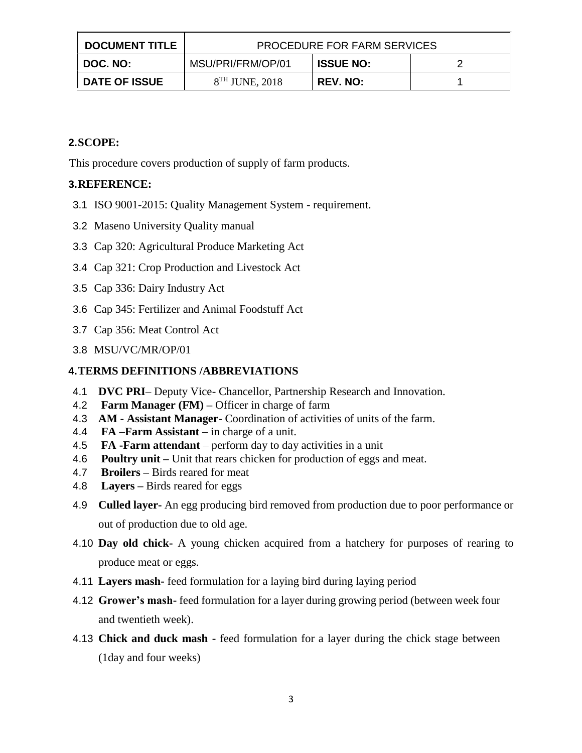| <b>DOCUMENT TITLE</b> | <b>PROCEDURE FOR FARM SERVICES</b> |                  |  |  |
|-----------------------|------------------------------------|------------------|--|--|
| DOC. NO:              | MSU/PRI/FRM/OP/01                  | <b>ISSUE NO:</b> |  |  |
| <b>DATE OF ISSUE</b>  | $8TH$ JUNE, 2018                   | <b>REV. NO:</b>  |  |  |

## **2.SCOPE:**

This procedure covers production of supply of farm products.

## **3.REFERENCE:**

- 3.1 ISO 9001-2015: Quality Management System requirement.
- 3.2 Maseno University Quality manual
- 3.3 Cap 320: Agricultural Produce Marketing Act
- 3.4 Cap 321: Crop Production and Livestock Act
- 3.5 Cap 336: Dairy Industry Act
- 3.6 Cap 345: Fertilizer and Animal Foodstuff Act
- 3.7 Cap 356: Meat Control Act
- 3.8 MSU/VC/MR/OP/01

## **4.TERMS DEFINITIONS /ABBREVIATIONS**

- 4.1 **DVC PRI** Deputy Vice- Chancellor, Partnership Research and Innovation.
- 4.2 **Farm Manager (FM) –** Officer in charge of farm
- 4.3 **AM - Assistant Manager** Coordination of activities of units of the farm.
- 4.4 **FA –Farm Assistant –** in charge of a unit.
- 4.5 **FA -Farm attendant**  perform day to day activities in a unit
- 4.6 **Poultry unit –** Unit that rears chicken for production of eggs and meat.
- 4.7 **Broilers –** Birds reared for meat
- 4.8 **Layers –** Birds reared for eggs
- 4.9 **Culled layer-** An egg producing bird removed from production due to poor performance or out of production due to old age.
- 4.10 **Day old chick-** A young chicken acquired from a hatchery for purposes of rearing to produce meat or eggs.
- 4.11 **Layers mash-** feed formulation for a laying bird during laying period
- 4.12 **Grower's mash-** feed formulation for a layer during growing period (between week four and twentieth week).
- 4.13 **Chick and duck mash -** feed formulation for a layer during the chick stage between (1day and four weeks)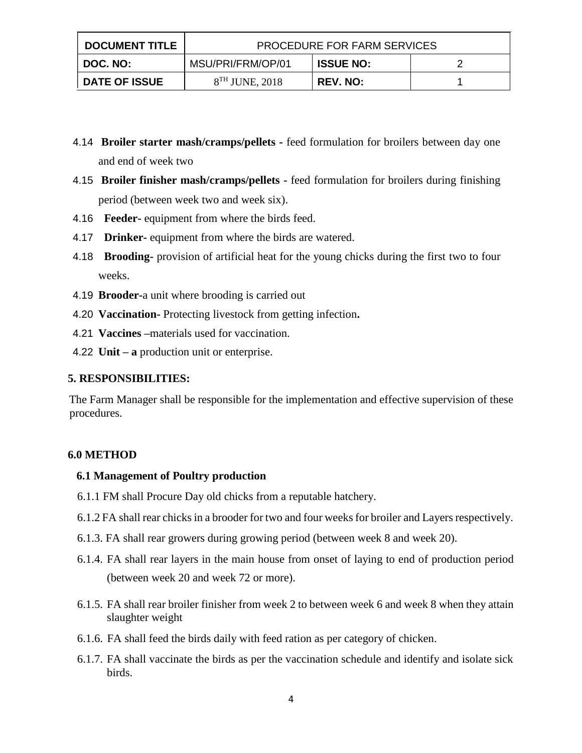| <b>DOCUMENT TITLE</b> | <b>PROCEDURE FOR FARM SERVICES</b> |                  |  |  |
|-----------------------|------------------------------------|------------------|--|--|
| DOC. NO:              | MSU/PRI/FRM/OP/01                  | <b>ISSUE NO:</b> |  |  |
| <b>DATE OF ISSUE</b>  | $8TH$ JUNE, 2018                   | <b>REV. NO:</b>  |  |  |

- 4.14 **Broiler starter mash/cramps/pellets -** feed formulation for broilers between day one and end of week two
- 4.15 **Broiler finisher mash/cramps/pellets -** feed formulation for broilers during finishing period (between week two and week six).
- 4.16 **Feeder-** equipment from where the birds feed.
- 4.17 **Drinker-** equipment from where the birds are watered.
- 4.18 **Brooding-** provision of artificial heat for the young chicks during the first two to four weeks.
- 4.19 **Brooder-**a unit where brooding is carried out
- 4.20 **Vaccination-** Protecting livestock from getting infection**.**
- 4.21 **Vaccines –**materials used for vaccination.
- 4.22 **Unit – a** production unit or enterprise.

#### **5. RESPONSIBILITIES:**

The Farm Manager shall be responsible for the implementation and effective supervision of these procedures.

#### **6.0 METHOD**

#### **6.1 Management of Poultry production**

- 6.1.1 FM shall Procure Day old chicks from a reputable hatchery.
- 6.1.2 FA shall rear chicks in a brooder for two and four weeks for broiler and Layers respectively.
- 6.1.3. FA shall rear growers during growing period (between week 8 and week 20).
- 6.1.4. FA shall rear layers in the main house from onset of laying to end of production period (between week 20 and week 72 or more).
- 6.1.5. FA shall rear broiler finisher from week 2 to between week 6 and week 8 when they attain slaughter weight
- 6.1.6. FA shall feed the birds daily with feed ration as per category of chicken.
- 6.1.7. FA shall vaccinate the birds as per the vaccination schedule and identify and isolate sick birds.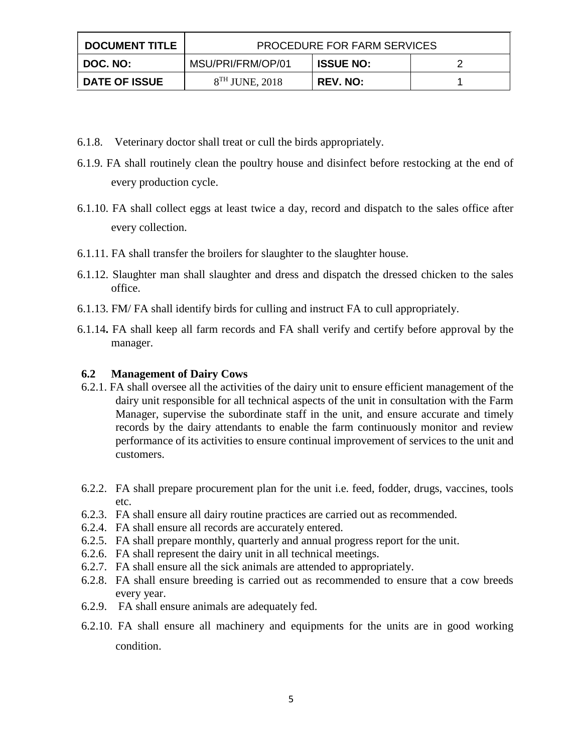| <b>DOCUMENT TITLE</b> | <b>PROCEDURE FOR FARM SERVICES</b> |                  |  |  |
|-----------------------|------------------------------------|------------------|--|--|
| DOC. NO:              | MSU/PRI/FRM/OP/01                  | <b>ISSUE NO:</b> |  |  |
| <b>DATE OF ISSUE</b>  | $8TH$ JUNE, 2018                   | <b>REV. NO:</b>  |  |  |

- 6.1.8. Veterinary doctor shall treat or cull the birds appropriately.
- 6.1.9. FA shall routinely clean the poultry house and disinfect before restocking at the end of every production cycle.
- 6.1.10. FA shall collect eggs at least twice a day, record and dispatch to the sales office after every collection.
- 6.1.11. FA shall transfer the broilers for slaughter to the slaughter house.
- 6.1.12. Slaughter man shall slaughter and dress and dispatch the dressed chicken to the sales office.
- 6.1.13. FM/ FA shall identify birds for culling and instruct FA to cull appropriately.
- 6.1.14**.** FA shall keep all farm records and FA shall verify and certify before approval by the manager.

#### **6.2 Management of Dairy Cows**

- 6.2.1. FA shall oversee all the activities of the dairy unit to ensure efficient management of the dairy unit responsible for all technical aspects of the unit in consultation with the Farm Manager, supervise the subordinate staff in the unit, and ensure accurate and timely records by the dairy attendants to enable the farm continuously monitor and review performance of its activities to ensure continual improvement of services to the unit and customers.
- 6.2.2. FA shall prepare procurement plan for the unit i.e. feed, fodder, drugs, vaccines, tools etc.
- 6.2.3. FA shall ensure all dairy routine practices are carried out as recommended.
- 6.2.4. FA shall ensure all records are accurately entered.
- 6.2.5. FA shall prepare monthly, quarterly and annual progress report for the unit.
- 6.2.6. FA shall represent the dairy unit in all technical meetings.
- 6.2.7. FA shall ensure all the sick animals are attended to appropriately.
- 6.2.8. FA shall ensure breeding is carried out as recommended to ensure that a cow breeds every year.
- 6.2.9. FA shall ensure animals are adequately fed.
- 6.2.10. FA shall ensure all machinery and equipments for the units are in good working condition.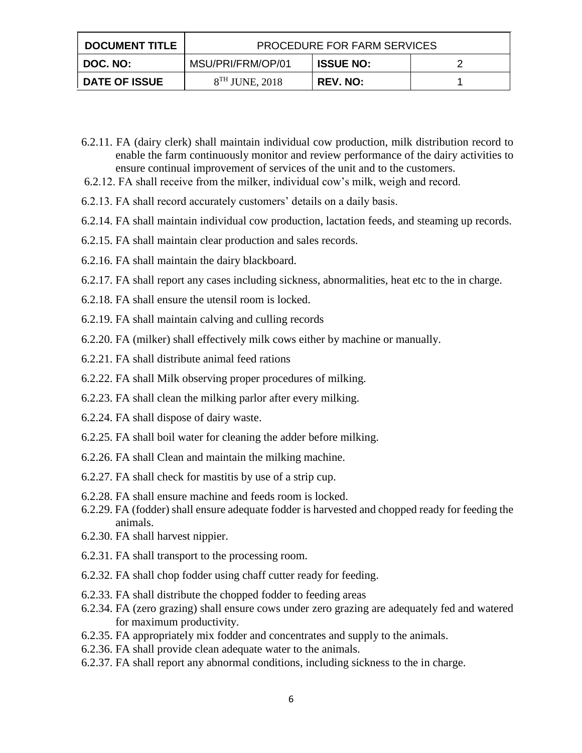| <b>DOCUMENT TITLE</b> | PROCEDURE FOR FARM SERVICES |                  |  |  |
|-----------------------|-----------------------------|------------------|--|--|
| DOC. NO: I            | MSU/PRI/FRM/OP/01           | <b>ISSUE NO:</b> |  |  |
| <b>DATE OF ISSUE</b>  | $8TH$ JUNE, 2018            | <b>REV. NO:</b>  |  |  |

- 6.2.11. FA (dairy clerk) shall maintain individual cow production, milk distribution record to enable the farm continuously monitor and review performance of the dairy activities to ensure continual improvement of services of the unit and to the customers.
- 6.2.12. FA shall receive from the milker, individual cow's milk, weigh and record.
- 6.2.13. FA shall record accurately customers' details on a daily basis.
- 6.2.14. FA shall maintain individual cow production, lactation feeds, and steaming up records.
- 6.2.15. FA shall maintain clear production and sales records.
- 6.2.16. FA shall maintain the dairy blackboard.
- 6.2.17. FA shall report any cases including sickness, abnormalities, heat etc to the in charge.
- 6.2.18. FA shall ensure the utensil room is locked.
- 6.2.19. FA shall maintain calving and culling records
- 6.2.20. FA (milker) shall effectively milk cows either by machine or manually.
- 6.2.21. FA shall distribute animal feed rations
- 6.2.22. FA shall Milk observing proper procedures of milking.
- 6.2.23. FA shall clean the milking parlor after every milking.
- 6.2.24. FA shall dispose of dairy waste.
- 6.2.25. FA shall boil water for cleaning the adder before milking.
- 6.2.26. FA shall Clean and maintain the milking machine.
- 6.2.27. FA shall check for mastitis by use of a strip cup.
- 6.2.28. FA shall ensure machine and feeds room is locked.
- 6.2.29. FA (fodder) shall ensure adequate fodder is harvested and chopped ready for feeding the animals.
- 6.2.30. FA shall harvest nippier.
- 6.2.31. FA shall transport to the processing room.
- 6.2.32. FA shall chop fodder using chaff cutter ready for feeding.
- 6.2.33. FA shall distribute the chopped fodder to feeding areas
- 6.2.34. FA (zero grazing) shall ensure cows under zero grazing are adequately fed and watered for maximum productivity.
- 6.2.35. FA appropriately mix fodder and concentrates and supply to the animals.
- 6.2.36. FA shall provide clean adequate water to the animals.
- 6.2.37. FA shall report any abnormal conditions, including sickness to the in charge.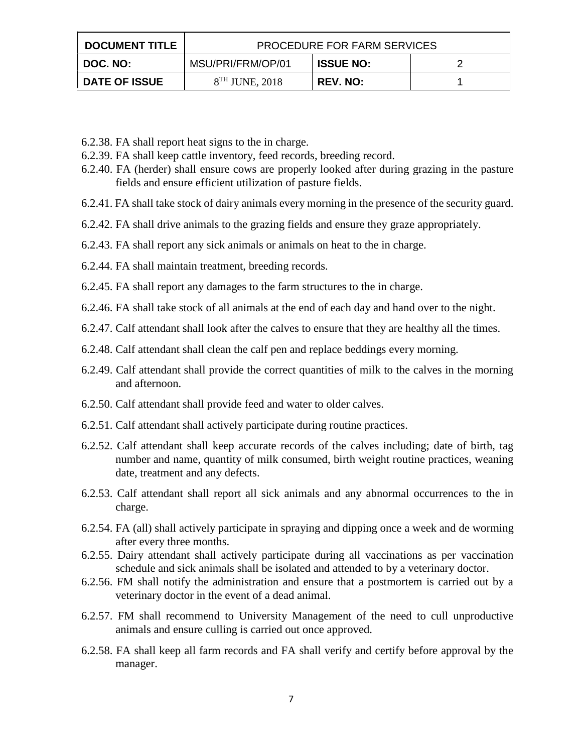| <b>DOCUMENT TITLE</b> | <b>PROCEDURE FOR FARM SERVICES</b> |                  |  |  |
|-----------------------|------------------------------------|------------------|--|--|
| DOC. NO:              | MSU/PRI/FRM/OP/01                  | <b>ISSUE NO:</b> |  |  |
| DATE OF ISSUE         | $8TH$ JUNE, 2018                   | REV. NO:         |  |  |

- 6.2.38. FA shall report heat signs to the in charge.
- 6.2.39. FA shall keep cattle inventory, feed records, breeding record.
- 6.2.40. FA (herder) shall ensure cows are properly looked after during grazing in the pasture fields and ensure efficient utilization of pasture fields.
- 6.2.41. FA shall take stock of dairy animals every morning in the presence of the security guard.
- 6.2.42. FA shall drive animals to the grazing fields and ensure they graze appropriately.
- 6.2.43. FA shall report any sick animals or animals on heat to the in charge.
- 6.2.44. FA shall maintain treatment, breeding records.
- 6.2.45. FA shall report any damages to the farm structures to the in charge.
- 6.2.46. FA shall take stock of all animals at the end of each day and hand over to the night.
- 6.2.47. Calf attendant shall look after the calves to ensure that they are healthy all the times.
- 6.2.48. Calf attendant shall clean the calf pen and replace beddings every morning.
- 6.2.49. Calf attendant shall provide the correct quantities of milk to the calves in the morning and afternoon.
- 6.2.50. Calf attendant shall provide feed and water to older calves.
- 6.2.51. Calf attendant shall actively participate during routine practices.
- 6.2.52. Calf attendant shall keep accurate records of the calves including; date of birth, tag number and name, quantity of milk consumed, birth weight routine practices, weaning date, treatment and any defects.
- 6.2.53. Calf attendant shall report all sick animals and any abnormal occurrences to the in charge.
- 6.2.54. FA (all) shall actively participate in spraying and dipping once a week and de worming after every three months.
- 6.2.55. Dairy attendant shall actively participate during all vaccinations as per vaccination schedule and sick animals shall be isolated and attended to by a veterinary doctor.
- 6.2.56. FM shall notify the administration and ensure that a postmortem is carried out by a veterinary doctor in the event of a dead animal.
- 6.2.57. FM shall recommend to University Management of the need to cull unproductive animals and ensure culling is carried out once approved.
- 6.2.58. FA shall keep all farm records and FA shall verify and certify before approval by the manager.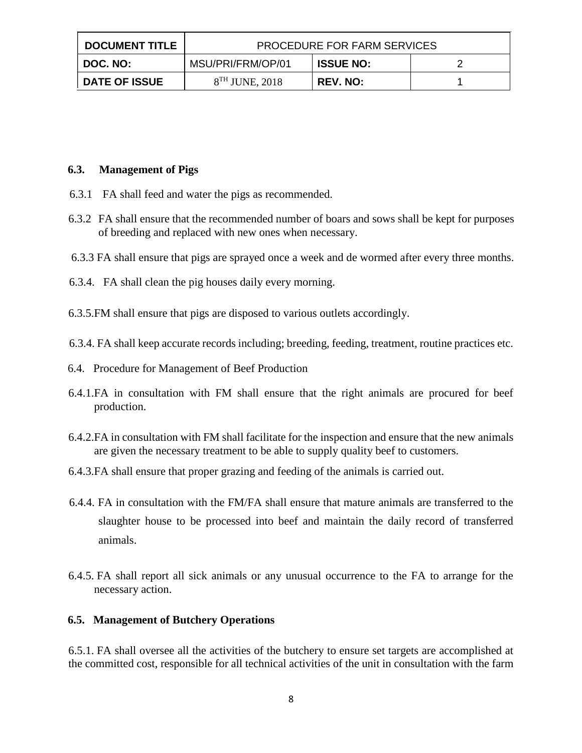| <b>DOCUMENT TITLE</b> | <b>PROCEDURE FOR FARM SERVICES</b> |                  |  |  |
|-----------------------|------------------------------------|------------------|--|--|
| DOC. NO:              | MSU/PRI/FRM/OP/01                  | <b>ISSUE NO:</b> |  |  |
| <b>DATE OF ISSUE</b>  | $8TH$ JUNE, 2018                   | <b>REV. NO:</b>  |  |  |

#### **6.3. Management of Pigs**

- 6.3.1 FA shall feed and water the pigs as recommended.
- 6.3.2 FA shall ensure that the recommended number of boars and sows shall be kept for purposes of breeding and replaced with new ones when necessary.
- 6.3.3 FA shall ensure that pigs are sprayed once a week and de wormed after every three months.
- 6.3.4. FA shall clean the pig houses daily every morning.
- 6.3.5.FM shall ensure that pigs are disposed to various outlets accordingly.
- 6.3.4. FA shall keep accurate records including; breeding, feeding, treatment, routine practices etc.
- 6.4. Procedure for Management of Beef Production
- 6.4.1.FA in consultation with FM shall ensure that the right animals are procured for beef production.
- 6.4.2.FA in consultation with FM shall facilitate for the inspection and ensure that the new animals are given the necessary treatment to be able to supply quality beef to customers.
- 6.4.3.FA shall ensure that proper grazing and feeding of the animals is carried out.
- 6.4.4. FA in consultation with the FM/FA shall ensure that mature animals are transferred to the slaughter house to be processed into beef and maintain the daily record of transferred animals.
- 6.4.5. FA shall report all sick animals or any unusual occurrence to the FA to arrange for the necessary action.

#### **6.5. Management of Butchery Operations**

6.5.1. FA shall oversee all the activities of the butchery to ensure set targets are accomplished at the committed cost, responsible for all technical activities of the unit in consultation with the farm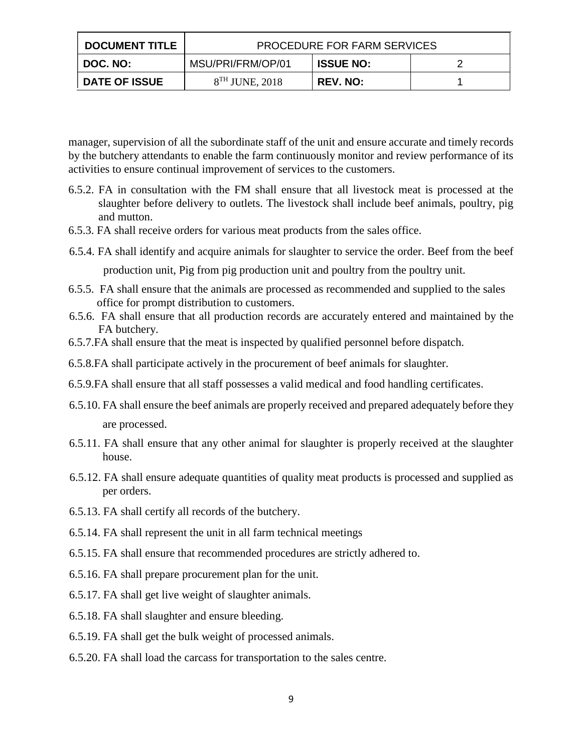| <b>DOCUMENT TITLE</b> | <b>PROCEDURE FOR FARM SERVICES</b> |                  |  |  |
|-----------------------|------------------------------------|------------------|--|--|
| DOC. NO:              | MSU/PRI/FRM/OP/01                  | <b>ISSUE NO:</b> |  |  |
| <b>DATE OF ISSUE</b>  | $8TH$ JUNE, 2018                   | <b>REV. NO:</b>  |  |  |

manager, supervision of all the subordinate staff of the unit and ensure accurate and timely records by the butchery attendants to enable the farm continuously monitor and review performance of its activities to ensure continual improvement of services to the customers.

- 6.5.2. FA in consultation with the FM shall ensure that all livestock meat is processed at the slaughter before delivery to outlets. The livestock shall include beef animals, poultry, pig and mutton.
- 6.5.3. FA shall receive orders for various meat products from the sales office.
- 6.5.4. FA shall identify and acquire animals for slaughter to service the order. Beef from the beef production unit, Pig from pig production unit and poultry from the poultry unit.
- 6.5.5. FA shall ensure that the animals are processed as recommended and supplied to the sales office for prompt distribution to customers.
- 6.5.6. FA shall ensure that all production records are accurately entered and maintained by the FA butchery.
- 6.5.7.FA shall ensure that the meat is inspected by qualified personnel before dispatch.
- 6.5.8.FA shall participate actively in the procurement of beef animals for slaughter.
- 6.5.9.FA shall ensure that all staff possesses a valid medical and food handling certificates.
- 6.5.10. FA shall ensure the beef animals are properly received and prepared adequately before they are processed.
- 6.5.11. FA shall ensure that any other animal for slaughter is properly received at the slaughter house.
- 6.5.12. FA shall ensure adequate quantities of quality meat products is processed and supplied as per orders.
- 6.5.13. FA shall certify all records of the butchery.
- 6.5.14. FA shall represent the unit in all farm technical meetings
- 6.5.15. FA shall ensure that recommended procedures are strictly adhered to.
- 6.5.16. FA shall prepare procurement plan for the unit.
- 6.5.17. FA shall get live weight of slaughter animals.
- 6.5.18. FA shall slaughter and ensure bleeding.
- 6.5.19. FA shall get the bulk weight of processed animals.
- 6.5.20. FA shall load the carcass for transportation to the sales centre.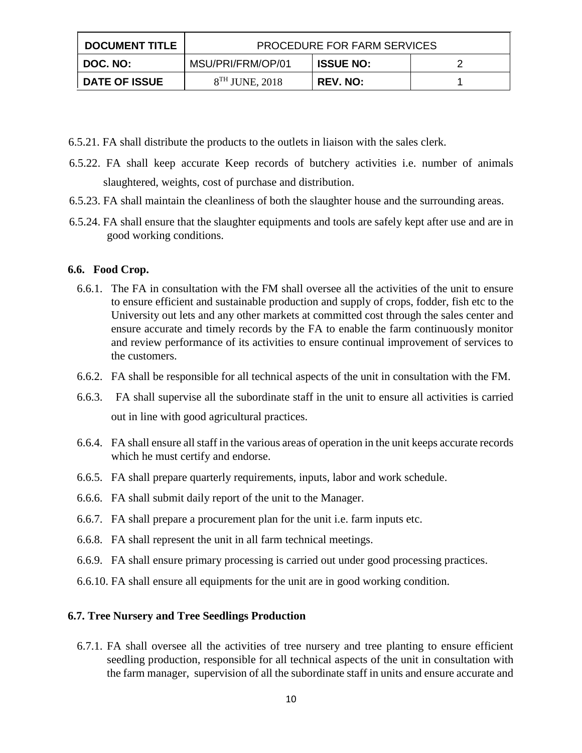| <b>DOCUMENT TITLE</b> | PROCEDURE FOR FARM SERVICES |                  |  |
|-----------------------|-----------------------------|------------------|--|
| DOC. NO:              | MSU/PRI/FRM/OP/01           | <b>ISSUE NO:</b> |  |
| <b>DATE OF ISSUE</b>  | $8TH$ JUNE, 2018            | <b>REV. NO:</b>  |  |

- 6.5.21. FA shall distribute the products to the outlets in liaison with the sales clerk.
- 6.5.22. FA shall keep accurate Keep records of butchery activities i.e. number of animals slaughtered, weights, cost of purchase and distribution.
- 6.5.23. FA shall maintain the cleanliness of both the slaughter house and the surrounding areas.
- 6.5.24. FA shall ensure that the slaughter equipments and tools are safely kept after use and are in good working conditions.

## **6.6. Food Crop.**

- 6.6.1. The FA in consultation with the FM shall oversee all the activities of the unit to ensure to ensure efficient and sustainable production and supply of crops, fodder, fish etc to the University out lets and any other markets at committed cost through the sales center and ensure accurate and timely records by the FA to enable the farm continuously monitor and review performance of its activities to ensure continual improvement of services to the customers.
- 6.6.2. FA shall be responsible for all technical aspects of the unit in consultation with the FM.
- 6.6.3. FA shall supervise all the subordinate staff in the unit to ensure all activities is carried out in line with good agricultural practices.
- 6.6.4. FA shall ensure all staff in the various areas of operation in the unit keeps accurate records which he must certify and endorse.
- 6.6.5. FA shall prepare quarterly requirements, inputs, labor and work schedule.
- 6.6.6. FA shall submit daily report of the unit to the Manager.
- 6.6.7. FA shall prepare a procurement plan for the unit i.e. farm inputs etc.
- 6.6.8. FA shall represent the unit in all farm technical meetings.
- 6.6.9. FA shall ensure primary processing is carried out under good processing practices.
- 6.6.10. FA shall ensure all equipments for the unit are in good working condition.

#### **6.7. Tree Nursery and Tree Seedlings Production**

6.7.1. FA shall oversee all the activities of tree nursery and tree planting to ensure efficient seedling production, responsible for all technical aspects of the unit in consultation with the farm manager, supervision of all the subordinate staff in units and ensure accurate and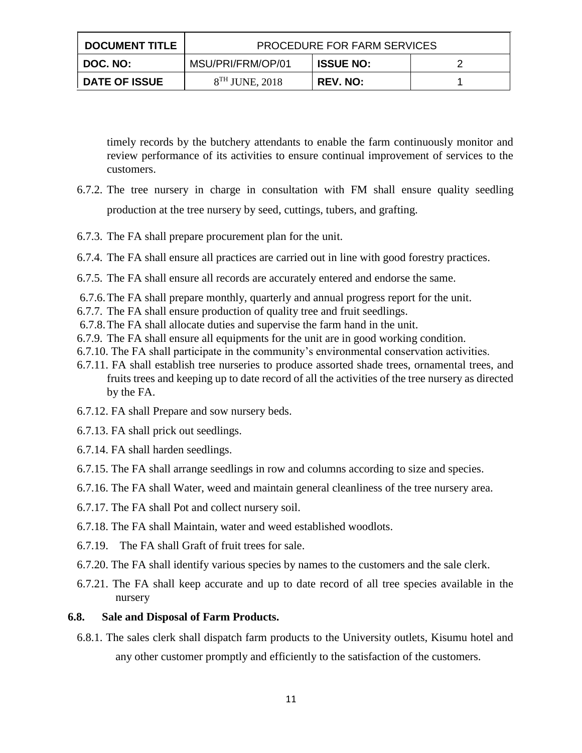| <b>DOCUMENT TITLE</b> | PROCEDURE FOR FARM SERVICES |                  |  |  |
|-----------------------|-----------------------------|------------------|--|--|
| I DOC. NO: I          | MSU/PRI/FRM/OP/01           | <b>ISSUE NO:</b> |  |  |
| <b>DATE OF ISSUE</b>  | $8TH$ JUNE, 2018            | <b>REV. NO:</b>  |  |  |

timely records by the butchery attendants to enable the farm continuously monitor and review performance of its activities to ensure continual improvement of services to the customers.

- 6.7.2. The tree nursery in charge in consultation with FM shall ensure quality seedling production at the tree nursery by seed, cuttings, tubers, and grafting.
- 6.7.3. The FA shall prepare procurement plan for the unit.
- 6.7.4. The FA shall ensure all practices are carried out in line with good forestry practices.
- 6.7.5. The FA shall ensure all records are accurately entered and endorse the same.
- 6.7.6.The FA shall prepare monthly, quarterly and annual progress report for the unit.
- 6.7.7. The FA shall ensure production of quality tree and fruit seedlings.
- 6.7.8.The FA shall allocate duties and supervise the farm hand in the unit.
- 6.7.9. The FA shall ensure all equipments for the unit are in good working condition.
- 6.7.10. The FA shall participate in the community's environmental conservation activities.
- 6.7.11. FA shall establish tree nurseries to produce assorted shade trees, ornamental trees, and fruits trees and keeping up to date record of all the activities of the tree nursery as directed by the FA.
- 6.7.12. FA shall Prepare and sow nursery beds.
- 6.7.13. FA shall prick out seedlings.
- 6.7.14. FA shall harden seedlings.
- 6.7.15. The FA shall arrange seedlings in row and columns according to size and species.
- 6.7.16. The FA shall Water, weed and maintain general cleanliness of the tree nursery area.
- 6.7.17. The FA shall Pot and collect nursery soil.
- 6.7.18. The FA shall Maintain, water and weed established woodlots.
- 6.7.19. The FA shall Graft of fruit trees for sale.
- 6.7.20. The FA shall identify various species by names to the customers and the sale clerk.
- 6.7.21. The FA shall keep accurate and up to date record of all tree species available in the nursery

#### **6.8. Sale and Disposal of Farm Products.**

6.8.1. The sales clerk shall dispatch farm products to the University outlets, Kisumu hotel and any other customer promptly and efficiently to the satisfaction of the customers.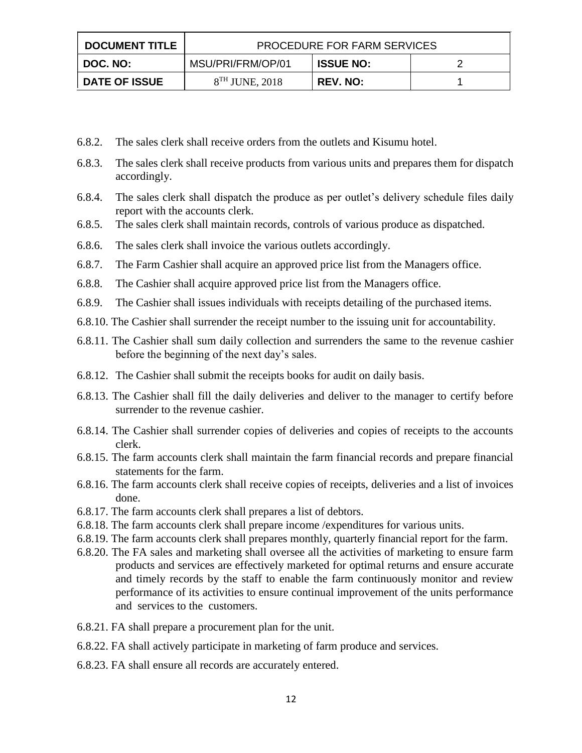| <b>DOCUMENT TITLE</b> | PROCEDURE FOR FARM SERVICES |                  |  |
|-----------------------|-----------------------------|------------------|--|
| DOC. NO: I            | MSU/PRI/FRM/OP/01           | <b>ISSUE NO:</b> |  |
| <b>DATE OF ISSUE</b>  | $8TH$ JUNE, 2018            | <b>REV. NO:</b>  |  |

- 6.8.2. The sales clerk shall receive orders from the outlets and Kisumu hotel.
- 6.8.3. The sales clerk shall receive products from various units and prepares them for dispatch accordingly.
- 6.8.4. The sales clerk shall dispatch the produce as per outlet's delivery schedule files daily report with the accounts clerk.
- 6.8.5. The sales clerk shall maintain records, controls of various produce as dispatched.
- 6.8.6. The sales clerk shall invoice the various outlets accordingly.
- 6.8.7. The Farm Cashier shall acquire an approved price list from the Managers office.
- 6.8.8. The Cashier shall acquire approved price list from the Managers office.
- 6.8.9. The Cashier shall issues individuals with receipts detailing of the purchased items.
- 6.8.10. The Cashier shall surrender the receipt number to the issuing unit for accountability.
- 6.8.11. The Cashier shall sum daily collection and surrenders the same to the revenue cashier before the beginning of the next day's sales.
- 6.8.12. The Cashier shall submit the receipts books for audit on daily basis.
- 6.8.13. The Cashier shall fill the daily deliveries and deliver to the manager to certify before surrender to the revenue cashier.
- 6.8.14. The Cashier shall surrender copies of deliveries and copies of receipts to the accounts clerk.
- 6.8.15. The farm accounts clerk shall maintain the farm financial records and prepare financial statements for the farm.
- 6.8.16. The farm accounts clerk shall receive copies of receipts, deliveries and a list of invoices done.
- 6.8.17. The farm accounts clerk shall prepares a list of debtors.
- 6.8.18. The farm accounts clerk shall prepare income /expenditures for various units.
- 6.8.19. The farm accounts clerk shall prepares monthly, quarterly financial report for the farm.
- 6.8.20. The FA sales and marketing shall oversee all the activities of marketing to ensure farm products and services are effectively marketed for optimal returns and ensure accurate and timely records by the staff to enable the farm continuously monitor and review performance of its activities to ensure continual improvement of the units performance and services to the customers.
- 6.8.21. FA shall prepare a procurement plan for the unit.
- 6.8.22. FA shall actively participate in marketing of farm produce and services.
- 6.8.23. FA shall ensure all records are accurately entered.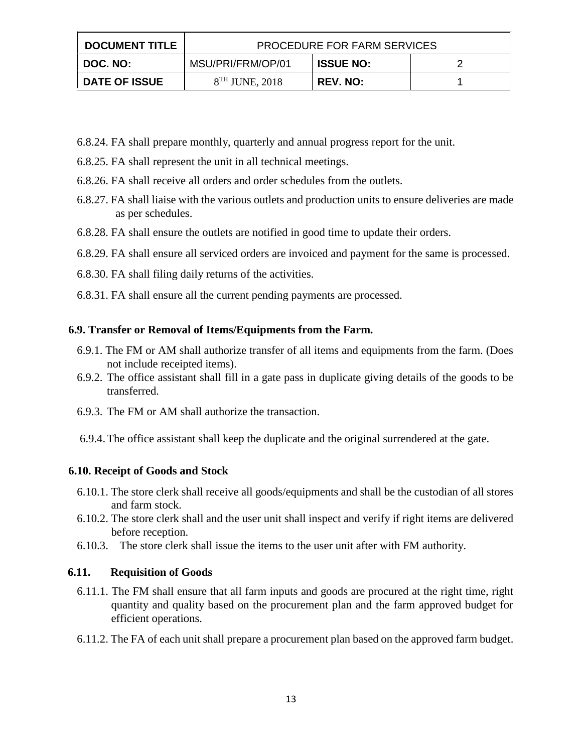| <b>DOCUMENT TITLE</b> | <b>PROCEDURE FOR FARM SERVICES</b> |                  |  |
|-----------------------|------------------------------------|------------------|--|
| DOC. NO:              | MSU/PRI/FRM/OP/01                  | <b>ISSUE NO:</b> |  |
| <b>DATE OF ISSUE</b>  | $8TH$ JUNE, 2018                   | <b>REV. NO:</b>  |  |

- 6.8.24. FA shall prepare monthly, quarterly and annual progress report for the unit.
- 6.8.25. FA shall represent the unit in all technical meetings.
- 6.8.26. FA shall receive all orders and order schedules from the outlets.
- 6.8.27. FA shall liaise with the various outlets and production units to ensure deliveries are made as per schedules.
- 6.8.28. FA shall ensure the outlets are notified in good time to update their orders.
- 6.8.29. FA shall ensure all serviced orders are invoiced and payment for the same is processed.
- 6.8.30. FA shall filing daily returns of the activities.
- 6.8.31. FA shall ensure all the current pending payments are processed.

## **6.9. Transfer or Removal of Items/Equipments from the Farm.**

- 6.9.1. The FM or AM shall authorize transfer of all items and equipments from the farm. (Does not include receipted items).
- 6.9.2. The office assistant shall fill in a gate pass in duplicate giving details of the goods to be transferred.
- 6.9.3. The FM or AM shall authorize the transaction.
- 6.9.4.The office assistant shall keep the duplicate and the original surrendered at the gate.

## **6.10. Receipt of Goods and Stock**

- 6.10.1. The store clerk shall receive all goods/equipments and shall be the custodian of all stores and farm stock.
- 6.10.2. The store clerk shall and the user unit shall inspect and verify if right items are delivered before reception.
- 6.10.3. The store clerk shall issue the items to the user unit after with FM authority.

#### **6.11. Requisition of Goods**

- 6.11.1. The FM shall ensure that all farm inputs and goods are procured at the right time, right quantity and quality based on the procurement plan and the farm approved budget for efficient operations.
- 6.11.2. The FA of each unit shall prepare a procurement plan based on the approved farm budget.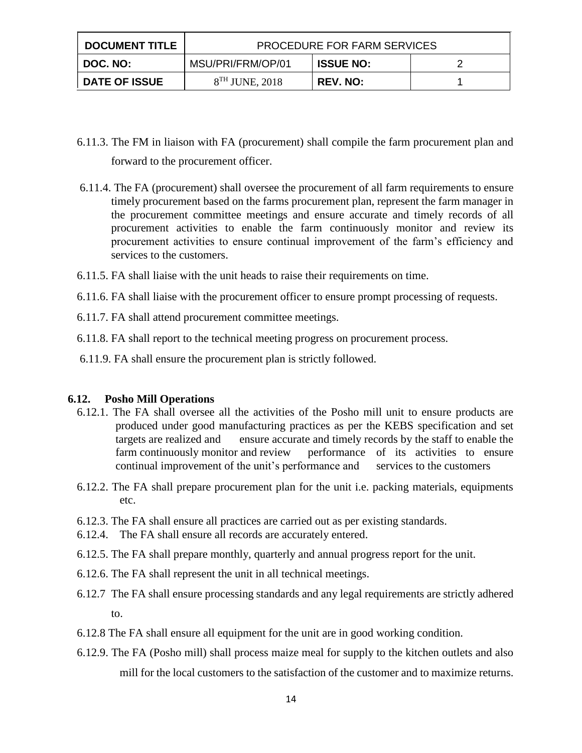| <b>DOCUMENT TITLE</b> | <b>PROCEDURE FOR FARM SERVICES</b> |                  |  |
|-----------------------|------------------------------------|------------------|--|
| DOC. NO:              | MSU/PRI/FRM/OP/01                  | <b>ISSUE NO:</b> |  |
| <b>DATE OF ISSUE</b>  | $8TH$ JUNE, 2018                   | <b>REV. NO:</b>  |  |

- 6.11.3. The FM in liaison with FA (procurement) shall compile the farm procurement plan and forward to the procurement officer.
- 6.11.4. The FA (procurement) shall oversee the procurement of all farm requirements to ensure timely procurement based on the farms procurement plan, represent the farm manager in the procurement committee meetings and ensure accurate and timely records of all procurement activities to enable the farm continuously monitor and review its procurement activities to ensure continual improvement of the farm's efficiency and services to the customers.
- 6.11.5. FA shall liaise with the unit heads to raise their requirements on time.
- 6.11.6. FA shall liaise with the procurement officer to ensure prompt processing of requests.
- 6.11.7. FA shall attend procurement committee meetings.
- 6.11.8. FA shall report to the technical meeting progress on procurement process.
- 6.11.9. FA shall ensure the procurement plan is strictly followed.

#### **6.12. Posho Mill Operations**

- 6.12.1. The FA shall oversee all the activities of the Posho mill unit to ensure products are produced under good manufacturing practices as per the KEBS specification and set targets are realized and ensure accurate and timely records by the staff to enable the farm continuously monitor and review performance of its activities to ensure continual improvement of the unit's performance and services to the customers
- 6.12.2. The FA shall prepare procurement plan for the unit i.e. packing materials, equipments etc.
- 6.12.3. The FA shall ensure all practices are carried out as per existing standards.
- 6.12.4. The FA shall ensure all records are accurately entered.
- 6.12.5. The FA shall prepare monthly, quarterly and annual progress report for the unit.
- 6.12.6. The FA shall represent the unit in all technical meetings.
- 6.12.7 The FA shall ensure processing standards and any legal requirements are strictly adhered to.
- 6.12.8 The FA shall ensure all equipment for the unit are in good working condition.
- 6.12.9. The FA (Posho mill) shall process maize meal for supply to the kitchen outlets and also mill for the local customers to the satisfaction of the customer and to maximize returns.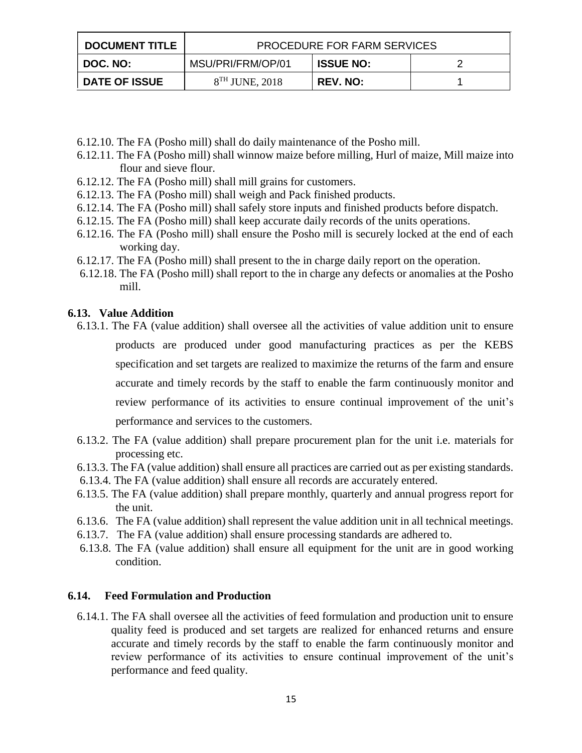| <b>DOCUMENT TITLE</b> | <b>PROCEDURE FOR FARM SERVICES</b> |                  |  |
|-----------------------|------------------------------------|------------------|--|
| DOC. NO:              | MSU/PRI/FRM/OP/01                  | <b>ISSUE NO:</b> |  |
| <b>DATE OF ISSUE</b>  | $8TH$ JUNE, 2018                   | <b>REV. NO:</b>  |  |

- 6.12.10. The FA (Posho mill) shall do daily maintenance of the Posho mill.
- 6.12.11. The FA (Posho mill) shall winnow maize before milling, Hurl of maize, Mill maize into flour and sieve flour.
- 6.12.12. The FA (Posho mill) shall mill grains for customers.
- 6.12.13. The FA (Posho mill) shall weigh and Pack finished products.
- 6.12.14. The FA (Posho mill) shall safely store inputs and finished products before dispatch.
- 6.12.15. The FA (Posho mill) shall keep accurate daily records of the units operations.
- 6.12.16. The FA (Posho mill) shall ensure the Posho mill is securely locked at the end of each working day.
- 6.12.17. The FA (Posho mill) shall present to the in charge daily report on the operation.
- 6.12.18. The FA (Posho mill) shall report to the in charge any defects or anomalies at the Posho mill.

## **6.13. Value Addition**

- 6.13.1. The FA (value addition) shall oversee all the activities of value addition unit to ensure products are produced under good manufacturing practices as per the KEBS specification and set targets are realized to maximize the returns of the farm and ensure accurate and timely records by the staff to enable the farm continuously monitor and review performance of its activities to ensure continual improvement of the unit's performance and services to the customers.
- 6.13.2. The FA (value addition) shall prepare procurement plan for the unit i.e. materials for processing etc.
- 6.13.3. The FA (value addition) shall ensure all practices are carried out as per existing standards.
- 6.13.4. The FA (value addition) shall ensure all records are accurately entered.
- 6.13.5. The FA (value addition) shall prepare monthly, quarterly and annual progress report for the unit.
- 6.13.6. The FA (value addition) shall represent the value addition unit in all technical meetings.
- 6.13.7. The FA (value addition) shall ensure processing standards are adhered to.
- 6.13.8. The FA (value addition) shall ensure all equipment for the unit are in good working condition.

## **6.14. Feed Formulation and Production**

6.14.1. The FA shall oversee all the activities of feed formulation and production unit to ensure quality feed is produced and set targets are realized for enhanced returns and ensure accurate and timely records by the staff to enable the farm continuously monitor and review performance of its activities to ensure continual improvement of the unit's performance and feed quality.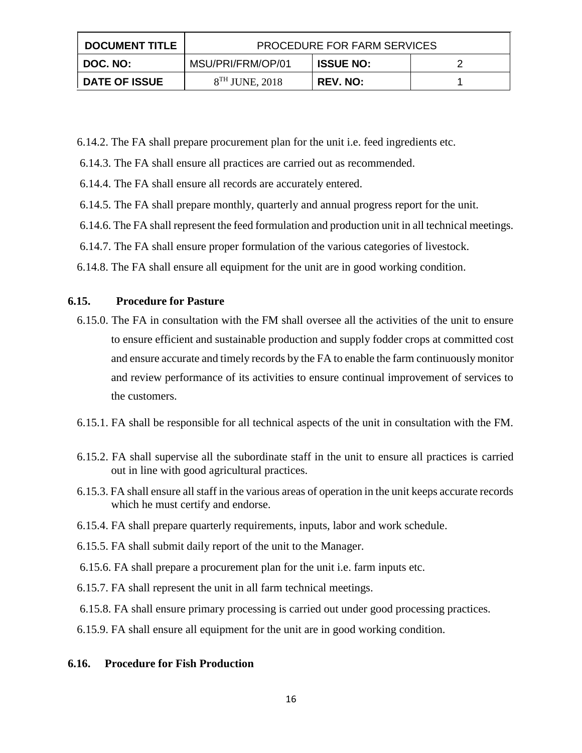| <b>DOCUMENT TITLE</b> | <b>PROCEDURE FOR FARM SERVICES</b> |                  |  |
|-----------------------|------------------------------------|------------------|--|
| DOC. NO:              | MSU/PRI/FRM/OP/01                  | <b>ISSUE NO:</b> |  |
| <b>DATE OF ISSUE</b>  | $8TH$ JUNE, 2018                   | <b>REV. NO:</b>  |  |

- 6.14.2. The FA shall prepare procurement plan for the unit i.e. feed ingredients etc.
- 6.14.3. The FA shall ensure all practices are carried out as recommended.
- 6.14.4. The FA shall ensure all records are accurately entered.
- 6.14.5. The FA shall prepare monthly, quarterly and annual progress report for the unit.
- 6.14.6. The FA shall represent the feed formulation and production unit in all technical meetings.
- 6.14.7. The FA shall ensure proper formulation of the various categories of livestock.
- 6.14.8. The FA shall ensure all equipment for the unit are in good working condition.

## **6.15. Procedure for Pasture**

- 6.15.0. The FA in consultation with the FM shall oversee all the activities of the unit to ensure to ensure efficient and sustainable production and supply fodder crops at committed cost and ensure accurate and timely records by the FA to enable the farm continuously monitor and review performance of its activities to ensure continual improvement of services to the customers.
- 6.15.1. FA shall be responsible for all technical aspects of the unit in consultation with the FM.
- 6.15.2. FA shall supervise all the subordinate staff in the unit to ensure all practices is carried out in line with good agricultural practices.
- 6.15.3. FA shall ensure all staff in the various areas of operation in the unit keeps accurate records which he must certify and endorse.
- 6.15.4. FA shall prepare quarterly requirements, inputs, labor and work schedule.
- 6.15.5. FA shall submit daily report of the unit to the Manager.
- 6.15.6. FA shall prepare a procurement plan for the unit i.e. farm inputs etc.
- 6.15.7. FA shall represent the unit in all farm technical meetings.
- 6.15.8. FA shall ensure primary processing is carried out under good processing practices.
- 6.15.9. FA shall ensure all equipment for the unit are in good working condition.

#### **6.16. Procedure for Fish Production**